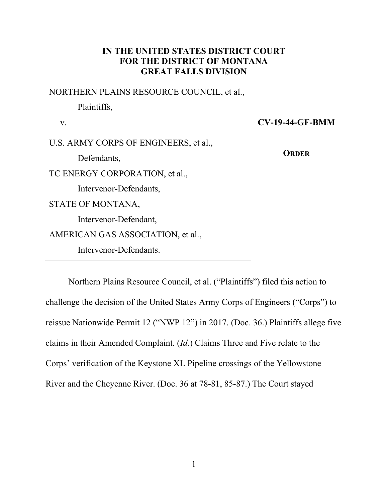# IN THE UNITED STATES DISTRICT COURT FOR THE DISTRICT OF MONTANA GREAT FALLS DIVISION

NORTHERN PLAINS RESOURCE COUNCIL, et al., Plaintiffs, v. U.S. ARMY CORPS OF ENGINEERS, et al., Defendants, TC ENERGY CORPORATION, et al., Intervenor-Defendants, STATE OF MONTANA, Intervenor-Defendant, AMERICAN GAS ASSOCIATION, et al., Intervenor-Defendants.

CV-19-44-GF-BMM

**ORDER** 

Northern Plains Resource Council, et al. ("Plaintiffs") filed this action to challenge the decision of the United States Army Corps of Engineers ("Corps") to reissue Nationwide Permit 12 ("NWP 12") in 2017. (Doc. 36.) Plaintiffs allege five claims in their Amended Complaint. (Id.) Claims Three and Five relate to the Corps' verification of the Keystone XL Pipeline crossings of the Yellowstone River and the Cheyenne River. (Doc. 36 at 78-81, 85-87.) The Court stayed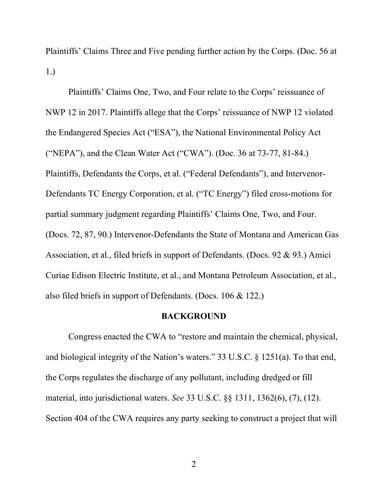Plaintiffs' Claims Three and Five pending further action by the Corps. (Doc. 56 at 1.)

Plaintiffs' Claims One, Two, and Four relate to the Corps' reissuance of NWP 12 in 2017. Plaintiffs allege that the Corps' reissuance of NWP 12 violated the Endangered Species Act ("ESA"), the National Environmental Policy Act ("NEPA"), and the Clean Water Act ("CWA"). (Doc. 36 at 73-77, 81-84.) Plaintiffs, Defendants the Corps, et al. ("Federal Defendants"), and Intervenor-Defendants TC Energy Corporation, et al. ("TC Energy") filed cross-motions for partial summary judgment regarding Plaintiffs' Claims One, Two, and Four. (Docs. 72, 87, 90.) Intervenor-Defendants the State of Montana and American Gas Association, et al., filed briefs in support of Defendants. (Docs. 92 & 93.) Amici Curiae Edison Electric Institute, et al., and Montana Petroleum Association, et al., also filed briefs in support of Defendants. (Docs. 106 & 122.)

#### BACKGROUND

Congress enacted the CWA to "restore and maintain the chemical, physical, and biological integrity of the Nation's waters." 33 U.S.C. § 1251(a). To that end, the Corps regulates the discharge of any pollutant, including dredged or fill material, into jurisdictional waters. See 33 U.S.C. §§ 1311, 1362(6), (7), (12). Section 404 of the CWA requires any party seeking to construct a project that will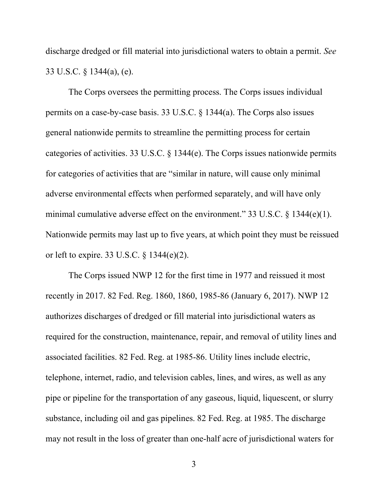discharge dredged or fill material into jurisdictional waters to obtain a permit. See 33 U.S.C. § 1344(a), (e).

The Corps oversees the permitting process. The Corps issues individual permits on a case-by-case basis. 33 U.S.C. § 1344(a). The Corps also issues general nationwide permits to streamline the permitting process for certain categories of activities. 33 U.S.C. § 1344(e). The Corps issues nationwide permits for categories of activities that are "similar in nature, will cause only minimal adverse environmental effects when performed separately, and will have only minimal cumulative adverse effect on the environment." 33 U.S.C. § 1344(e)(1). Nationwide permits may last up to five years, at which point they must be reissued or left to expire. 33 U.S.C. § 1344(e)(2).

 The Corps issued NWP 12 for the first time in 1977 and reissued it most recently in 2017. 82 Fed. Reg. 1860, 1860, 1985-86 (January 6, 2017). NWP 12 authorizes discharges of dredged or fill material into jurisdictional waters as required for the construction, maintenance, repair, and removal of utility lines and associated facilities. 82 Fed. Reg. at 1985-86. Utility lines include electric, telephone, internet, radio, and television cables, lines, and wires, as well as any pipe or pipeline for the transportation of any gaseous, liquid, liquescent, or slurry substance, including oil and gas pipelines. 82 Fed. Reg. at 1985. The discharge may not result in the loss of greater than one-half acre of jurisdictional waters for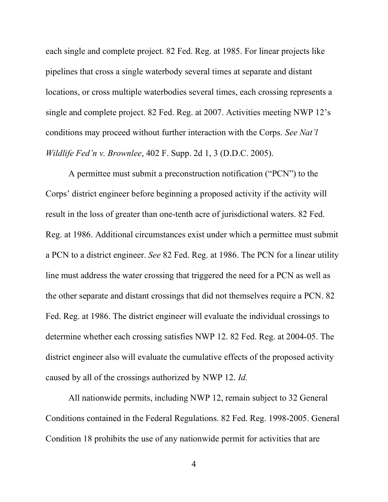each single and complete project. 82 Fed. Reg. at 1985. For linear projects like pipelines that cross a single waterbody several times at separate and distant locations, or cross multiple waterbodies several times, each crossing represents a single and complete project. 82 Fed. Reg. at 2007. Activities meeting NWP 12's conditions may proceed without further interaction with the Corps. See Nat'l *Wildlife Fed'n v. Brownlee,* 402 F. Supp. 2d  $1, 3$  (D.D.C. 2005).

 A permittee must submit a preconstruction notification ("PCN") to the Corps' district engineer before beginning a proposed activity if the activity will result in the loss of greater than one-tenth acre of jurisdictional waters. 82 Fed. Reg. at 1986. Additional circumstances exist under which a permittee must submit a PCN to a district engineer. See 82 Fed. Reg. at 1986. The PCN for a linear utility line must address the water crossing that triggered the need for a PCN as well as the other separate and distant crossings that did not themselves require a PCN. 82 Fed. Reg. at 1986. The district engineer will evaluate the individual crossings to determine whether each crossing satisfies NWP 12. 82 Fed. Reg. at 2004-05. The district engineer also will evaluate the cumulative effects of the proposed activity caused by all of the crossings authorized by NWP 12. Id.

 All nationwide permits, including NWP 12, remain subject to 32 General Conditions contained in the Federal Regulations. 82 Fed. Reg. 1998-2005. General Condition 18 prohibits the use of any nationwide permit for activities that are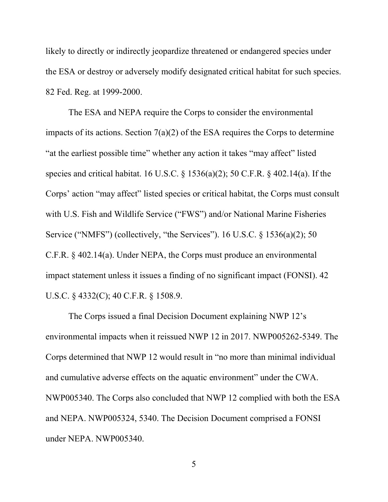likely to directly or indirectly jeopardize threatened or endangered species under the ESA or destroy or adversely modify designated critical habitat for such species. 82 Fed. Reg. at 1999-2000.

The ESA and NEPA require the Corps to consider the environmental impacts of its actions. Section  $7(a)(2)$  of the ESA requires the Corps to determine "at the earliest possible time" whether any action it takes "may affect" listed species and critical habitat. 16 U.S.C. § 1536(a)(2); 50 C.F.R. § 402.14(a). If the Corps' action "may affect" listed species or critical habitat, the Corps must consult with U.S. Fish and Wildlife Service ("FWS") and/or National Marine Fisheries Service ("NMFS") (collectively, "the Services"). 16 U.S.C.  $\S$  1536(a)(2); 50 C.F.R. § 402.14(a). Under NEPA, the Corps must produce an environmental impact statement unless it issues a finding of no significant impact (FONSI). 42 U.S.C. § 4332(C); 40 C.F.R. § 1508.9.

The Corps issued a final Decision Document explaining NWP 12's environmental impacts when it reissued NWP 12 in 2017. NWP005262-5349. The Corps determined that NWP 12 would result in "no more than minimal individual and cumulative adverse effects on the aquatic environment" under the CWA. NWP005340. The Corps also concluded that NWP 12 complied with both the ESA and NEPA. NWP005324, 5340. The Decision Document comprised a FONSI under NEPA. NWP005340.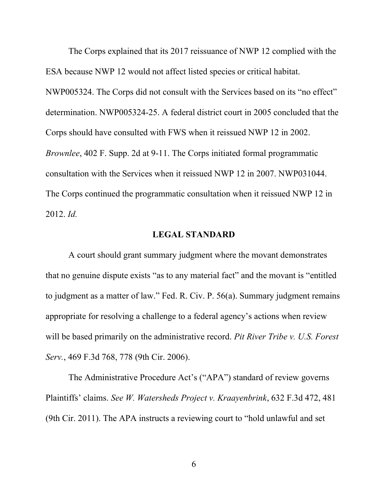The Corps explained that its 2017 reissuance of NWP 12 complied with the ESA because NWP 12 would not affect listed species or critical habitat. NWP005324. The Corps did not consult with the Services based on its "no effect" determination. NWP005324-25. A federal district court in 2005 concluded that the Corps should have consulted with FWS when it reissued NWP 12 in 2002. Brownlee, 402 F. Supp. 2d at 9-11. The Corps initiated formal programmatic consultation with the Services when it reissued NWP 12 in 2007. NWP031044. The Corps continued the programmatic consultation when it reissued NWP 12 in 2012. Id.

## LEGAL STANDARD

A court should grant summary judgment where the movant demonstrates that no genuine dispute exists "as to any material fact" and the movant is "entitled to judgment as a matter of law." Fed. R. Civ. P. 56(a). Summary judgment remains appropriate for resolving a challenge to a federal agency's actions when review will be based primarily on the administrative record. Pit River Tribe v. U.S. Forest Serv., 469 F.3d 768, 778 (9th Cir. 2006).

The Administrative Procedure Act's ("APA") standard of review governs Plaintiffs' claims. See W. Watersheds Project v. Kraayenbrink, 632 F.3d 472, 481 (9th Cir. 2011). The APA instructs a reviewing court to "hold unlawful and set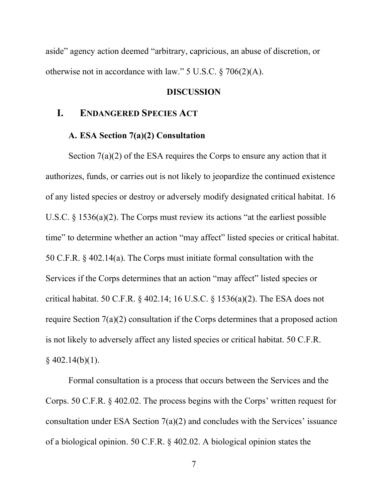aside" agency action deemed "arbitrary, capricious, an abuse of discretion, or otherwise not in accordance with law." 5 U.S.C. § 706(2)(A).

### DISCUSSION

# I. ENDANGERED SPECIES ACT

### A. ESA Section 7(a)(2) Consultation

Section 7(a)(2) of the ESA requires the Corps to ensure any action that it authorizes, funds, or carries out is not likely to jeopardize the continued existence of any listed species or destroy or adversely modify designated critical habitat. 16 U.S.C. § 1536(a)(2). The Corps must review its actions "at the earliest possible time" to determine whether an action "may affect" listed species or critical habitat. 50 C.F.R. § 402.14(a). The Corps must initiate formal consultation with the Services if the Corps determines that an action "may affect" listed species or critical habitat. 50 C.F.R. § 402.14; 16 U.S.C. § 1536(a)(2). The ESA does not require Section 7(a)(2) consultation if the Corps determines that a proposed action is not likely to adversely affect any listed species or critical habitat. 50 C.F.R.  $§$  402.14(b)(1).

Formal consultation is a process that occurs between the Services and the Corps. 50 C.F.R. § 402.02. The process begins with the Corps' written request for consultation under ESA Section 7(a)(2) and concludes with the Services' issuance of a biological opinion. 50 C.F.R. § 402.02. A biological opinion states the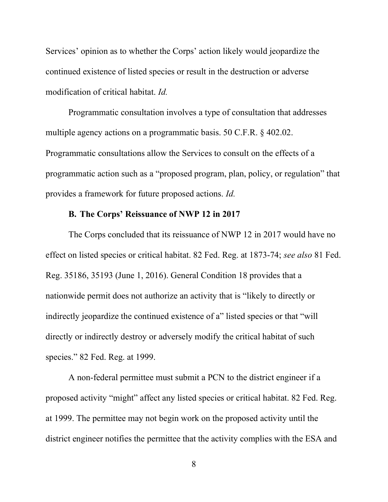Services' opinion as to whether the Corps' action likely would jeopardize the continued existence of listed species or result in the destruction or adverse modification of critical habitat. Id.

Programmatic consultation involves a type of consultation that addresses multiple agency actions on a programmatic basis. 50 C.F.R. § 402.02. Programmatic consultations allow the Services to consult on the effects of a programmatic action such as a "proposed program, plan, policy, or regulation" that provides a framework for future proposed actions. Id.

## B. The Corps' Reissuance of NWP 12 in 2017

The Corps concluded that its reissuance of NWP 12 in 2017 would have no effect on listed species or critical habitat. 82 Fed. Reg. at 1873-74; see also 81 Fed. Reg. 35186, 35193 (June 1, 2016). General Condition 18 provides that a nationwide permit does not authorize an activity that is "likely to directly or indirectly jeopardize the continued existence of a" listed species or that "will directly or indirectly destroy or adversely modify the critical habitat of such species." 82 Fed. Reg. at 1999.

A non-federal permittee must submit a PCN to the district engineer if a proposed activity "might" affect any listed species or critical habitat. 82 Fed. Reg. at 1999. The permittee may not begin work on the proposed activity until the district engineer notifies the permittee that the activity complies with the ESA and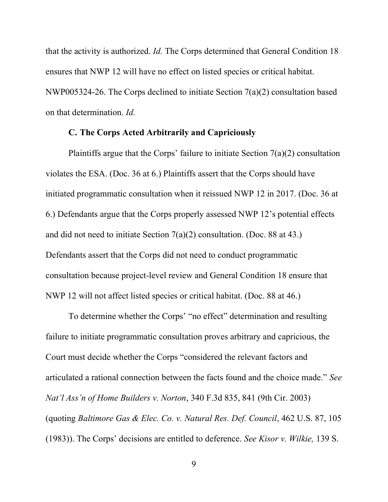that the activity is authorized. Id. The Corps determined that General Condition 18 ensures that NWP 12 will have no effect on listed species or critical habitat. NWP005324-26. The Corps declined to initiate Section 7(a)(2) consultation based on that determination. Id.

## C. The Corps Acted Arbitrarily and Capriciously

Plaintiffs argue that the Corps' failure to initiate Section  $7(a)(2)$  consultation violates the ESA. (Doc. 36 at 6.) Plaintiffs assert that the Corps should have initiated programmatic consultation when it reissued NWP 12 in 2017. (Doc. 36 at 6.) Defendants argue that the Corps properly assessed NWP 12's potential effects and did not need to initiate Section 7(a)(2) consultation. (Doc. 88 at 43.) Defendants assert that the Corps did not need to conduct programmatic consultation because project-level review and General Condition 18 ensure that NWP 12 will not affect listed species or critical habitat. (Doc. 88 at 46.)

To determine whether the Corps' "no effect" determination and resulting failure to initiate programmatic consultation proves arbitrary and capricious, the Court must decide whether the Corps "considered the relevant factors and articulated a rational connection between the facts found and the choice made." See Nat'l Ass'n of Home Builders v. Norton, 340 F.3d 835, 841 (9th Cir. 2003) (quoting Baltimore Gas & Elec. Co. v. Natural Res. Def. Council, 462 U.S. 87, 105 (1983)). The Corps' decisions are entitled to deference. See Kisor v. Wilkie, 139 S.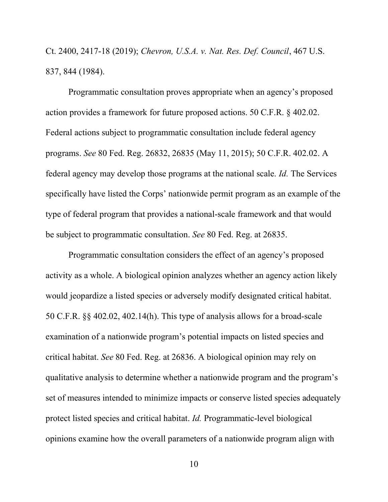Ct. 2400, 2417-18 (2019); Chevron, U.S.A. v. Nat. Res. Def. Council, 467 U.S. 837, 844 (1984).

Programmatic consultation proves appropriate when an agency's proposed action provides a framework for future proposed actions. 50 C.F.R. § 402.02. Federal actions subject to programmatic consultation include federal agency programs. See 80 Fed. Reg. 26832, 26835 (May 11, 2015); 50 C.F.R. 402.02. A federal agency may develop those programs at the national scale. Id. The Services specifically have listed the Corps' nationwide permit program as an example of the type of federal program that provides a national-scale framework and that would be subject to programmatic consultation. See 80 Fed. Reg. at 26835.

Programmatic consultation considers the effect of an agency's proposed activity as a whole. A biological opinion analyzes whether an agency action likely would jeopardize a listed species or adversely modify designated critical habitat. 50 C.F.R. §§ 402.02, 402.14(h). This type of analysis allows for a broad-scale examination of a nationwide program's potential impacts on listed species and critical habitat. See 80 Fed. Reg. at 26836. A biological opinion may rely on qualitative analysis to determine whether a nationwide program and the program's set of measures intended to minimize impacts or conserve listed species adequately protect listed species and critical habitat. Id. Programmatic-level biological opinions examine how the overall parameters of a nationwide program align with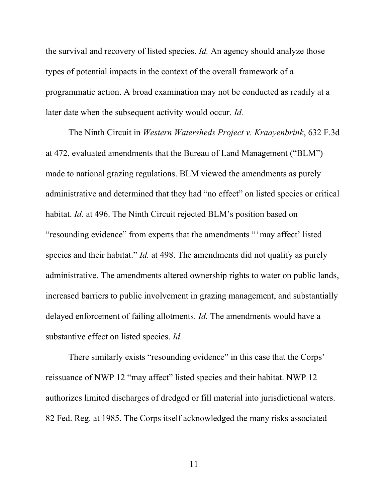the survival and recovery of listed species. Id. An agency should analyze those types of potential impacts in the context of the overall framework of a programmatic action. A broad examination may not be conducted as readily at a later date when the subsequent activity would occur. Id.

The Ninth Circuit in Western Watersheds Project v. Kraayenbrink, 632 F.3d at 472, evaluated amendments that the Bureau of Land Management ("BLM") made to national grazing regulations. BLM viewed the amendments as purely administrative and determined that they had "no effect" on listed species or critical habitat. *Id.* at 496. The Ninth Circuit rejected BLM's position based on "resounding evidence" from experts that the amendments "'may affect' listed species and their habitat." *Id.* at 498. The amendments did not qualify as purely administrative. The amendments altered ownership rights to water on public lands, increased barriers to public involvement in grazing management, and substantially delayed enforcement of failing allotments. *Id*. The amendments would have a substantive effect on listed species. Id.

There similarly exists "resounding evidence" in this case that the Corps' reissuance of NWP 12 "may affect" listed species and their habitat. NWP 12 authorizes limited discharges of dredged or fill material into jurisdictional waters. 82 Fed. Reg. at 1985. The Corps itself acknowledged the many risks associated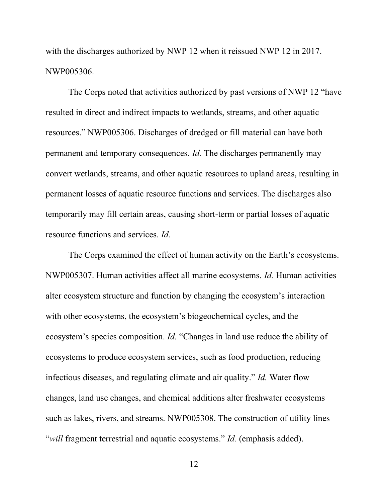with the discharges authorized by NWP 12 when it reissued NWP 12 in 2017. NWP005306.

The Corps noted that activities authorized by past versions of NWP 12 "have resulted in direct and indirect impacts to wetlands, streams, and other aquatic resources." NWP005306. Discharges of dredged or fill material can have both permanent and temporary consequences. Id. The discharges permanently may convert wetlands, streams, and other aquatic resources to upland areas, resulting in permanent losses of aquatic resource functions and services. The discharges also temporarily may fill certain areas, causing short-term or partial losses of aquatic resource functions and services. Id.

The Corps examined the effect of human activity on the Earth's ecosystems. NWP005307. Human activities affect all marine ecosystems. Id. Human activities alter ecosystem structure and function by changing the ecosystem's interaction with other ecosystems, the ecosystem's biogeochemical cycles, and the ecosystem's species composition. Id. "Changes in land use reduce the ability of ecosystems to produce ecosystem services, such as food production, reducing infectious diseases, and regulating climate and air quality." Id. Water flow changes, land use changes, and chemical additions alter freshwater ecosystems such as lakes, rivers, and streams. NWP005308. The construction of utility lines "*will* fragment terrestrial and aquatic ecosystems." *Id.* (emphasis added).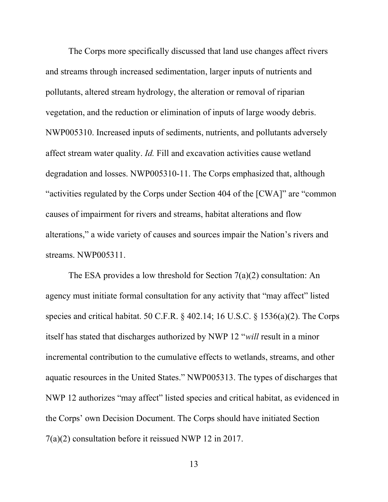The Corps more specifically discussed that land use changes affect rivers and streams through increased sedimentation, larger inputs of nutrients and pollutants, altered stream hydrology, the alteration or removal of riparian vegetation, and the reduction or elimination of inputs of large woody debris. NWP005310. Increased inputs of sediments, nutrients, and pollutants adversely affect stream water quality. Id. Fill and excavation activities cause wetland degradation and losses. NWP005310-11. The Corps emphasized that, although "activities regulated by the Corps under Section 404 of the [CWA]" are "common causes of impairment for rivers and streams, habitat alterations and flow alterations," a wide variety of causes and sources impair the Nation's rivers and streams. NWP005311.

The ESA provides a low threshold for Section 7(a)(2) consultation: An agency must initiate formal consultation for any activity that "may affect" listed species and critical habitat. 50 C.F.R. § 402.14; 16 U.S.C. § 1536(a)(2). The Corps itself has stated that discharges authorized by NWP 12 "will result in a minor incremental contribution to the cumulative effects to wetlands, streams, and other aquatic resources in the United States." NWP005313. The types of discharges that NWP 12 authorizes "may affect" listed species and critical habitat, as evidenced in the Corps' own Decision Document. The Corps should have initiated Section 7(a)(2) consultation before it reissued NWP 12 in 2017.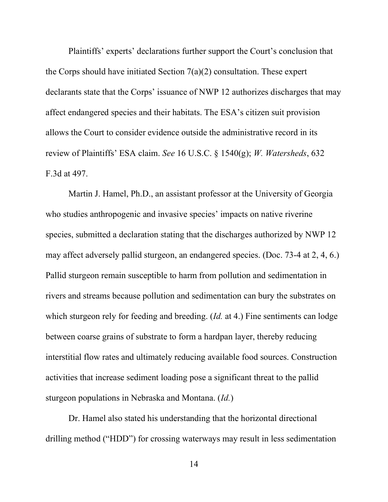Plaintiffs' experts' declarations further support the Court's conclusion that the Corps should have initiated Section  $7(a)(2)$  consultation. These expert declarants state that the Corps' issuance of NWP 12 authorizes discharges that may affect endangered species and their habitats. The ESA's citizen suit provision allows the Court to consider evidence outside the administrative record in its review of Plaintiffs' ESA claim. See 16 U.S.C. § 1540(g); W. Watersheds, 632 F.3d at 497.

Martin J. Hamel, Ph.D., an assistant professor at the University of Georgia who studies anthropogenic and invasive species' impacts on native riverine species, submitted a declaration stating that the discharges authorized by NWP 12 may affect adversely pallid sturgeon, an endangered species. (Doc. 73-4 at 2, 4, 6.) Pallid sturgeon remain susceptible to harm from pollution and sedimentation in rivers and streams because pollution and sedimentation can bury the substrates on which sturgeon rely for feeding and breeding. (*Id.* at 4.) Fine sentiments can lodge between coarse grains of substrate to form a hardpan layer, thereby reducing interstitial flow rates and ultimately reducing available food sources. Construction activities that increase sediment loading pose a significant threat to the pallid sturgeon populations in Nebraska and Montana. (Id.)

Dr. Hamel also stated his understanding that the horizontal directional drilling method ("HDD") for crossing waterways may result in less sedimentation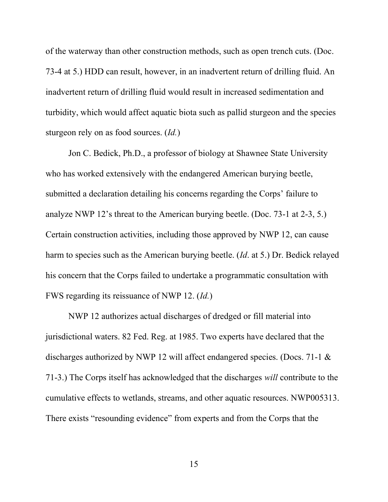of the waterway than other construction methods, such as open trench cuts. (Doc. 73-4 at 5.) HDD can result, however, in an inadvertent return of drilling fluid. An inadvertent return of drilling fluid would result in increased sedimentation and turbidity, which would affect aquatic biota such as pallid sturgeon and the species sturgeon rely on as food sources. (*Id.*)

Jon C. Bedick, Ph.D., a professor of biology at Shawnee State University who has worked extensively with the endangered American burying beetle, submitted a declaration detailing his concerns regarding the Corps' failure to analyze NWP 12's threat to the American burying beetle. (Doc. 73-1 at 2-3, 5.) Certain construction activities, including those approved by NWP 12, can cause harm to species such as the American burying beetle. (Id. at 5.) Dr. Bedick relayed his concern that the Corps failed to undertake a programmatic consultation with FWS regarding its reissuance of NWP 12. (Id.)

NWP 12 authorizes actual discharges of dredged or fill material into jurisdictional waters. 82 Fed. Reg. at 1985. Two experts have declared that the discharges authorized by NWP 12 will affect endangered species. (Docs. 71-1 & 71-3.) The Corps itself has acknowledged that the discharges will contribute to the cumulative effects to wetlands, streams, and other aquatic resources. NWP005313. There exists "resounding evidence" from experts and from the Corps that the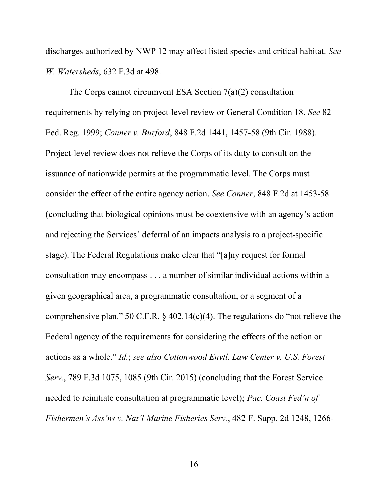discharges authorized by NWP 12 may affect listed species and critical habitat. See W. Watersheds, 632 F.3d at 498.

The Corps cannot circumvent ESA Section 7(a)(2) consultation requirements by relying on project-level review or General Condition 18. See 82 Fed. Reg. 1999; Conner v. Burford, 848 F.2d 1441, 1457-58 (9th Cir. 1988). Project-level review does not relieve the Corps of its duty to consult on the issuance of nationwide permits at the programmatic level. The Corps must consider the effect of the entire agency action. See Conner, 848 F.2d at 1453-58 (concluding that biological opinions must be coextensive with an agency's action and rejecting the Services' deferral of an impacts analysis to a project-specific stage). The Federal Regulations make clear that "[a]ny request for formal consultation may encompass . . . a number of similar individual actions within a given geographical area, a programmatic consultation, or a segment of a comprehensive plan." 50 C.F.R. § 402.14(c)(4). The regulations do "not relieve the Federal agency of the requirements for considering the effects of the action or actions as a whole." Id.; see also Cottonwood Envtl. Law Center v. U.S. Forest Serv., 789 F.3d 1075, 1085 (9th Cir. 2015) (concluding that the Forest Service needed to reinitiate consultation at programmatic level); Pac. Coast Fed'n of Fishermen's Ass'ns v. Nat'l Marine Fisheries Serv., 482 F. Supp. 2d 1248, 1266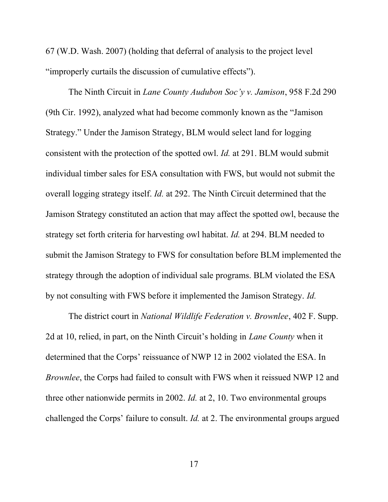67 (W.D. Wash. 2007) (holding that deferral of analysis to the project level "improperly curtails the discussion of cumulative effects").

The Ninth Circuit in Lane County Audubon Soc'y v. Jamison, 958 F.2d 290 (9th Cir. 1992), analyzed what had become commonly known as the "Jamison Strategy." Under the Jamison Strategy, BLM would select land for logging consistent with the protection of the spotted owl. Id. at 291. BLM would submit individual timber sales for ESA consultation with FWS, but would not submit the overall logging strategy itself. Id. at 292. The Ninth Circuit determined that the Jamison Strategy constituted an action that may affect the spotted owl, because the strategy set forth criteria for harvesting owl habitat. Id. at 294. BLM needed to submit the Jamison Strategy to FWS for consultation before BLM implemented the strategy through the adoption of individual sale programs. BLM violated the ESA by not consulting with FWS before it implemented the Jamison Strategy. Id.

The district court in *National Wildlife Federation v. Brownlee*, 402 F. Supp. 2d at 10, relied, in part, on the Ninth Circuit's holding in *Lane County* when it determined that the Corps' reissuance of NWP 12 in 2002 violated the ESA. In Brownlee, the Corps had failed to consult with FWS when it reissued NWP 12 and three other nationwide permits in 2002. Id. at 2, 10. Two environmental groups challenged the Corps' failure to consult. Id. at 2. The environmental groups argued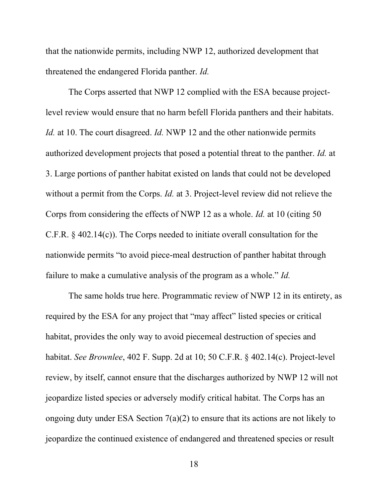that the nationwide permits, including NWP 12, authorized development that threatened the endangered Florida panther. Id.

The Corps asserted that NWP 12 complied with the ESA because projectlevel review would ensure that no harm befell Florida panthers and their habitats. Id. at 10. The court disagreed. Id. NWP 12 and the other nationwide permits authorized development projects that posed a potential threat to the panther. Id. at 3. Large portions of panther habitat existed on lands that could not be developed without a permit from the Corps. *Id.* at 3. Project-level review did not relieve the Corps from considering the effects of NWP 12 as a whole. Id. at 10 (citing 50 C.F.R. § 402.14(c)). The Corps needed to initiate overall consultation for the nationwide permits "to avoid piece-meal destruction of panther habitat through failure to make a cumulative analysis of the program as a whole." Id.

The same holds true here. Programmatic review of NWP 12 in its entirety, as required by the ESA for any project that "may affect" listed species or critical habitat, provides the only way to avoid piecemeal destruction of species and habitat. See Brownlee, 402 F. Supp. 2d at 10; 50 C.F.R. § 402.14(c). Project-level review, by itself, cannot ensure that the discharges authorized by NWP 12 will not jeopardize listed species or adversely modify critical habitat. The Corps has an ongoing duty under ESA Section 7(a)(2) to ensure that its actions are not likely to jeopardize the continued existence of endangered and threatened species or result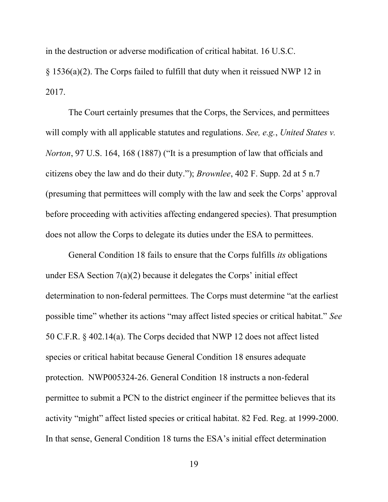in the destruction or adverse modification of critical habitat. 16 U.S.C.

§ 1536(a)(2). The Corps failed to fulfill that duty when it reissued NWP 12 in 2017.

The Court certainly presumes that the Corps, the Services, and permittees will comply with all applicable statutes and regulations. See, e.g., United States v. Norton, 97 U.S. 164, 168 (1887) ("It is a presumption of law that officials and citizens obey the law and do their duty."); Brownlee, 402 F. Supp. 2d at 5 n.7 (presuming that permittees will comply with the law and seek the Corps' approval before proceeding with activities affecting endangered species). That presumption does not allow the Corps to delegate its duties under the ESA to permittees.

General Condition 18 fails to ensure that the Corps fulfills its obligations under ESA Section 7(a)(2) because it delegates the Corps' initial effect determination to non-federal permittees. The Corps must determine "at the earliest possible time" whether its actions "may affect listed species or critical habitat." See 50 C.F.R. § 402.14(a). The Corps decided that NWP 12 does not affect listed species or critical habitat because General Condition 18 ensures adequate protection. NWP005324-26. General Condition 18 instructs a non-federal permittee to submit a PCN to the district engineer if the permittee believes that its activity "might" affect listed species or critical habitat. 82 Fed. Reg. at 1999-2000. In that sense, General Condition 18 turns the ESA's initial effect determination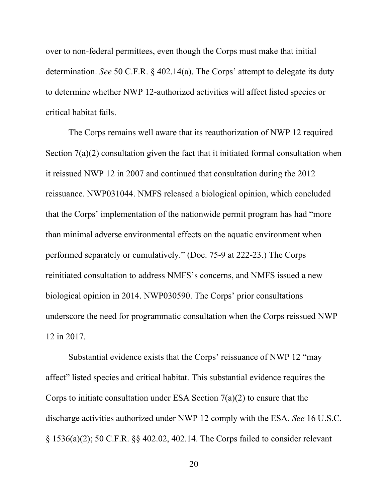over to non-federal permittees, even though the Corps must make that initial determination. See 50 C.F.R. § 402.14(a). The Corps' attempt to delegate its duty to determine whether NWP 12-authorized activities will affect listed species or critical habitat fails.

The Corps remains well aware that its reauthorization of NWP 12 required Section  $7(a)(2)$  consultation given the fact that it initiated formal consultation when it reissued NWP 12 in 2007 and continued that consultation during the 2012 reissuance. NWP031044. NMFS released a biological opinion, which concluded that the Corps' implementation of the nationwide permit program has had "more than minimal adverse environmental effects on the aquatic environment when performed separately or cumulatively." (Doc. 75-9 at 222-23.) The Corps reinitiated consultation to address NMFS's concerns, and NMFS issued a new biological opinion in 2014. NWP030590. The Corps' prior consultations underscore the need for programmatic consultation when the Corps reissued NWP 12 in 2017.

Substantial evidence exists that the Corps' reissuance of NWP 12 "may affect" listed species and critical habitat. This substantial evidence requires the Corps to initiate consultation under ESA Section  $7(a)(2)$  to ensure that the discharge activities authorized under NWP 12 comply with the ESA. See 16 U.S.C. § 1536(a)(2); 50 C.F.R. §§ 402.02, 402.14. The Corps failed to consider relevant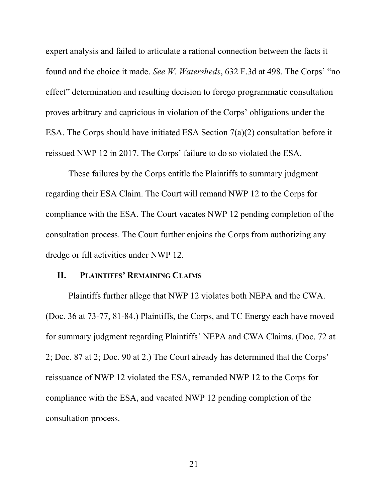expert analysis and failed to articulate a rational connection between the facts it found and the choice it made. See W. Watersheds, 632 F.3d at 498. The Corps' "no effect" determination and resulting decision to forego programmatic consultation proves arbitrary and capricious in violation of the Corps' obligations under the ESA. The Corps should have initiated ESA Section 7(a)(2) consultation before it reissued NWP 12 in 2017. The Corps' failure to do so violated the ESA.

These failures by the Corps entitle the Plaintiffs to summary judgment regarding their ESA Claim. The Court will remand NWP 12 to the Corps for compliance with the ESA. The Court vacates NWP 12 pending completion of the consultation process. The Court further enjoins the Corps from authorizing any dredge or fill activities under NWP 12.

### II. PLAINTIFFS' REMAINING CLAIMS

Plaintiffs further allege that NWP 12 violates both NEPA and the CWA. (Doc. 36 at 73-77, 81-84.) Plaintiffs, the Corps, and TC Energy each have moved for summary judgment regarding Plaintiffs' NEPA and CWA Claims. (Doc. 72 at 2; Doc. 87 at 2; Doc. 90 at 2.) The Court already has determined that the Corps' reissuance of NWP 12 violated the ESA, remanded NWP 12 to the Corps for compliance with the ESA, and vacated NWP 12 pending completion of the consultation process.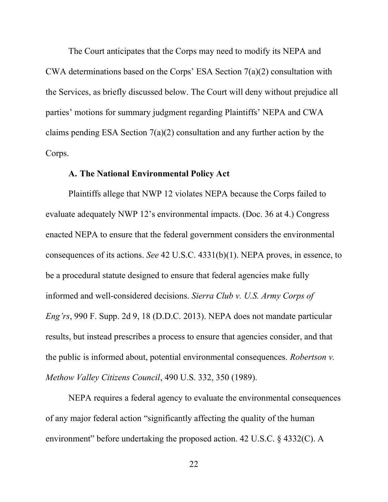The Court anticipates that the Corps may need to modify its NEPA and CWA determinations based on the Corps' ESA Section 7(a)(2) consultation with the Services, as briefly discussed below. The Court will deny without prejudice all parties' motions for summary judgment regarding Plaintiffs' NEPA and CWA claims pending ESA Section 7(a)(2) consultation and any further action by the Corps.

#### A. The National Environmental Policy Act

Plaintiffs allege that NWP 12 violates NEPA because the Corps failed to evaluate adequately NWP 12's environmental impacts. (Doc. 36 at 4.) Congress enacted NEPA to ensure that the federal government considers the environmental consequences of its actions. See 42 U.S.C. 4331(b)(1). NEPA proves, in essence, to be a procedural statute designed to ensure that federal agencies make fully informed and well-considered decisions. Sierra Club v. U.S. Army Corps of Eng'rs, 990 F. Supp. 2d 9, 18 (D.D.C. 2013). NEPA does not mandate particular results, but instead prescribes a process to ensure that agencies consider, and that the public is informed about, potential environmental consequences. Robertson v. Methow Valley Citizens Council, 490 U.S. 332, 350 (1989).

NEPA requires a federal agency to evaluate the environmental consequences of any major federal action "significantly affecting the quality of the human environment" before undertaking the proposed action. 42 U.S.C. § 4332(C). A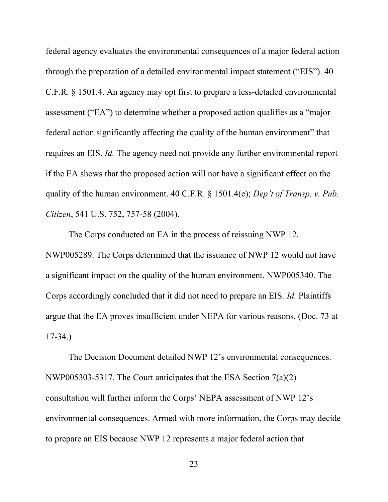federal agency evaluates the environmental consequences of a major federal action through the preparation of a detailed environmental impact statement ("EIS"). 40 C.F.R. § 1501.4. An agency may opt first to prepare a less-detailed environmental assessment ("EA") to determine whether a proposed action qualifies as a "major federal action significantly affecting the quality of the human environment" that requires an EIS. Id. The agency need not provide any further environmental report if the EA shows that the proposed action will not have a significant effect on the quality of the human environment. 40 C.F.R. § 1501.4(e); Dep't of Transp. v. Pub. Citizen, 541 U.S. 752, 757-58 (2004).

The Corps conducted an EA in the process of reissuing NWP 12. NWP005289. The Corps determined that the issuance of NWP 12 would not have a significant impact on the quality of the human environment. NWP005340. The Corps accordingly concluded that it did not need to prepare an EIS. Id. Plaintiffs argue that the EA proves insufficient under NEPA for various reasons. (Doc. 73 at 17-34.)

The Decision Document detailed NWP 12's environmental consequences. NWP005303-5317. The Court anticipates that the ESA Section 7(a)(2) consultation will further inform the Corps' NEPA assessment of NWP 12's environmental consequences. Armed with more information, the Corps may decide to prepare an EIS because NWP 12 represents a major federal action that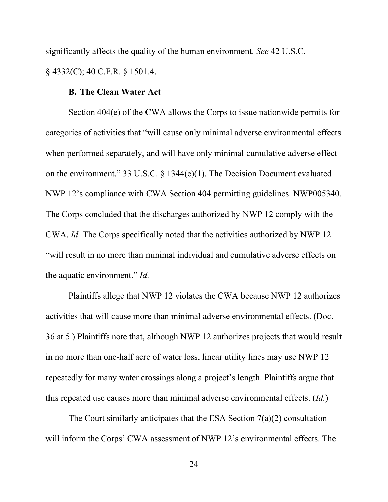significantly affects the quality of the human environment. See 42 U.S.C. § 4332(C); 40 C.F.R. § 1501.4.

## B. The Clean Water Act

Section 404(e) of the CWA allows the Corps to issue nationwide permits for categories of activities that "will cause only minimal adverse environmental effects when performed separately, and will have only minimal cumulative adverse effect on the environment." 33 U.S.C. § 1344(e)(1). The Decision Document evaluated NWP 12's compliance with CWA Section 404 permitting guidelines. NWP005340. The Corps concluded that the discharges authorized by NWP 12 comply with the CWA. Id. The Corps specifically noted that the activities authorized by NWP 12 "will result in no more than minimal individual and cumulative adverse effects on the aquatic environment." Id.

Plaintiffs allege that NWP 12 violates the CWA because NWP 12 authorizes activities that will cause more than minimal adverse environmental effects. (Doc. 36 at 5.) Plaintiffs note that, although NWP 12 authorizes projects that would result in no more than one-half acre of water loss, linear utility lines may use NWP 12 repeatedly for many water crossings along a project's length. Plaintiffs argue that this repeated use causes more than minimal adverse environmental effects. (Id.)

The Court similarly anticipates that the ESA Section 7(a)(2) consultation will inform the Corps' CWA assessment of NWP 12's environmental effects. The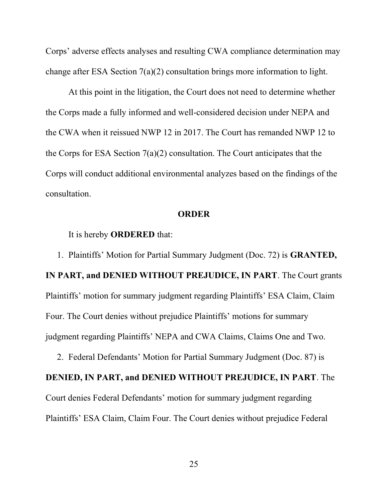Corps' adverse effects analyses and resulting CWA compliance determination may change after ESA Section 7(a)(2) consultation brings more information to light.

At this point in the litigation, the Court does not need to determine whether the Corps made a fully informed and well-considered decision under NEPA and the CWA when it reissued NWP 12 in 2017. The Court has remanded NWP 12 to the Corps for ESA Section 7(a)(2) consultation. The Court anticipates that the Corps will conduct additional environmental analyzes based on the findings of the consultation.

### **ORDER**

It is hereby ORDERED that:

1. Plaintiffs' Motion for Partial Summary Judgment (Doc. 72) is GRANTED, IN PART, and DENIED WITHOUT PREJUDICE, IN PART. The Court grants Plaintiffs' motion for summary judgment regarding Plaintiffs' ESA Claim, Claim Four. The Court denies without prejudice Plaintiffs' motions for summary judgment regarding Plaintiffs' NEPA and CWA Claims, Claims One and Two.

2. Federal Defendants' Motion for Partial Summary Judgment (Doc. 87) is DENIED, IN PART, and DENIED WITHOUT PREJUDICE, IN PART. The Court denies Federal Defendants' motion for summary judgment regarding Plaintiffs' ESA Claim, Claim Four. The Court denies without prejudice Federal